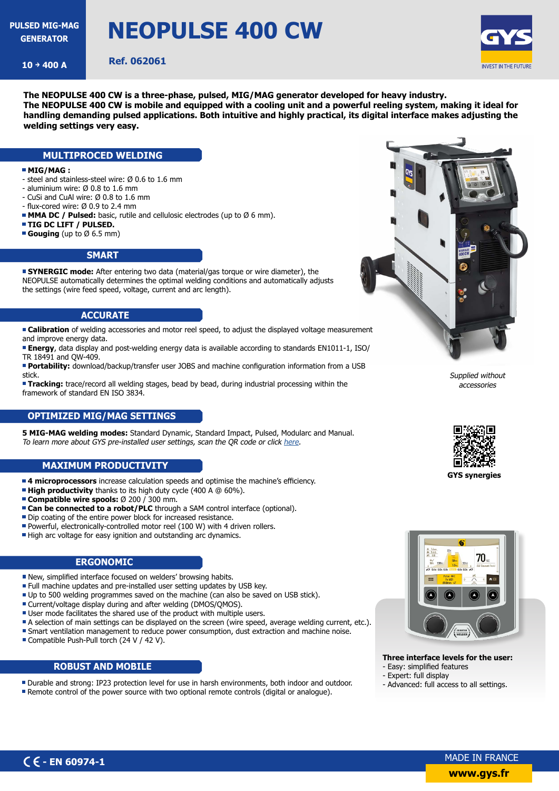**GENERATOR**

# **NEOPULSE 400 CW**

**10** → 400 A **Ref. 062061** 



**The NEOPULSE 400 CW is a three-phase, pulsed, MIG/MAG generator developed for heavy industry. The NEOPULSE 400 CW is mobile and equipped with a cooling unit and a powerful reeling system, making it ideal for handling demanding pulsed applications. Both intuitive and highly practical, its digital interface makes adjusting the welding settings very easy.**

#### **MULTIPROCED WELDING**

#### **MIG/MAG :**

- steel and stainless-steel wire: Ø 0.6 to 1.6 mm
- aluminium wire: Ø 0.8 to 1.6 mm
- CuSi and CuAl wire: Ø 0.8 to 1.6 mm
- flux-cored wire: Ø 0.9 to 2.4 mm
- **MMA DC / Pulsed:** basic, rutile and cellulosic electrodes (up to Ø 6 mm).
- **TIG DC LIFT / PULSED.**
- **Gouging** (up to Ø 6.5 mm)

#### **SMART**

**SYNERGIC mode:** After entering two data (material/gas torque or wire diameter), the NEOPULSE automatically determines the optimal welding conditions and automatically adjusts the settings (wire feed speed, voltage, current and arc length).

#### **ACCURATE**

**Calibration** of welding accessories and motor reel speed, to adjust the displayed voltage measurement and improve energy data.

**Energy**, data display and post-welding energy data is available according to standards EN1011-1, ISO/ TR 18491 and QW-409.

**Portability:** download/backup/transfer user JOBS and machine configuration information from a USB stick.

**Tracking:** trace/record all welding stages, bead by bead, during industrial processing within the framework of standard EN ISO 3834.

### **OPTIMIZED MIG/MAG SETTINGS**

**5 MIG-MAG welding modes:** Standard Dynamic, Standard Impact, Pulsed, Modularc and Manual. To learn more about GYS pre-installed user settings, scan the QR code or click [here](https://planet.gys.fr/pdf/spdoc/uk/Document_synergies.pdf).

#### **MAXIMUM PRODUCTIVITY**

- **4 microprocessors** increase calculation speeds and optimise the machine's efficiency.
- **High productivity** thanks to its high duty cycle (400 A @ 60%).
- **Compatible wire spools:** Ø 200 / 300 mm.
- **Can be connected to a robot/PLC** through a SAM control interface (optional).
- Dip coating of the entire power block for increased resistance.
- Powerful, electronically-controlled motor reel (100 W) with 4 driven rollers.
- High arc voltage for easy ignition and outstanding arc dynamics.

#### **ERGONOMIC**

- New, simplified interface focused on welders' browsing habits.
- **Full machine updates and pre-installed user setting updates by USB key.**
- Up to 500 welding programmes saved on the machine (can also be saved on USB stick).
- Current/voltage display during and after welding (DMOS/OMOS).
- User mode facilitates the shared use of the product with multiple users.
- A selection of main settings can be displayed on the screen (wire speed, average welding current, etc.).
- Smart ventilation management to reduce power consumption, dust extraction and machine noise.
- Compatible Push-Pull torch (24 V / 42 V).

#### **ROBUST AND MOBILE**

- Durable and strong: IP23 protection level for use in harsh environments, both indoor and outdoor.
- Remote control of the power source with two optional remote controls (digital or analogue).



Supplied without accessories



**GYS synergies** 



**Three interface levels for the user:** - Easy: simplified features

- Expert: full display
- Advanced: full access to all settings.